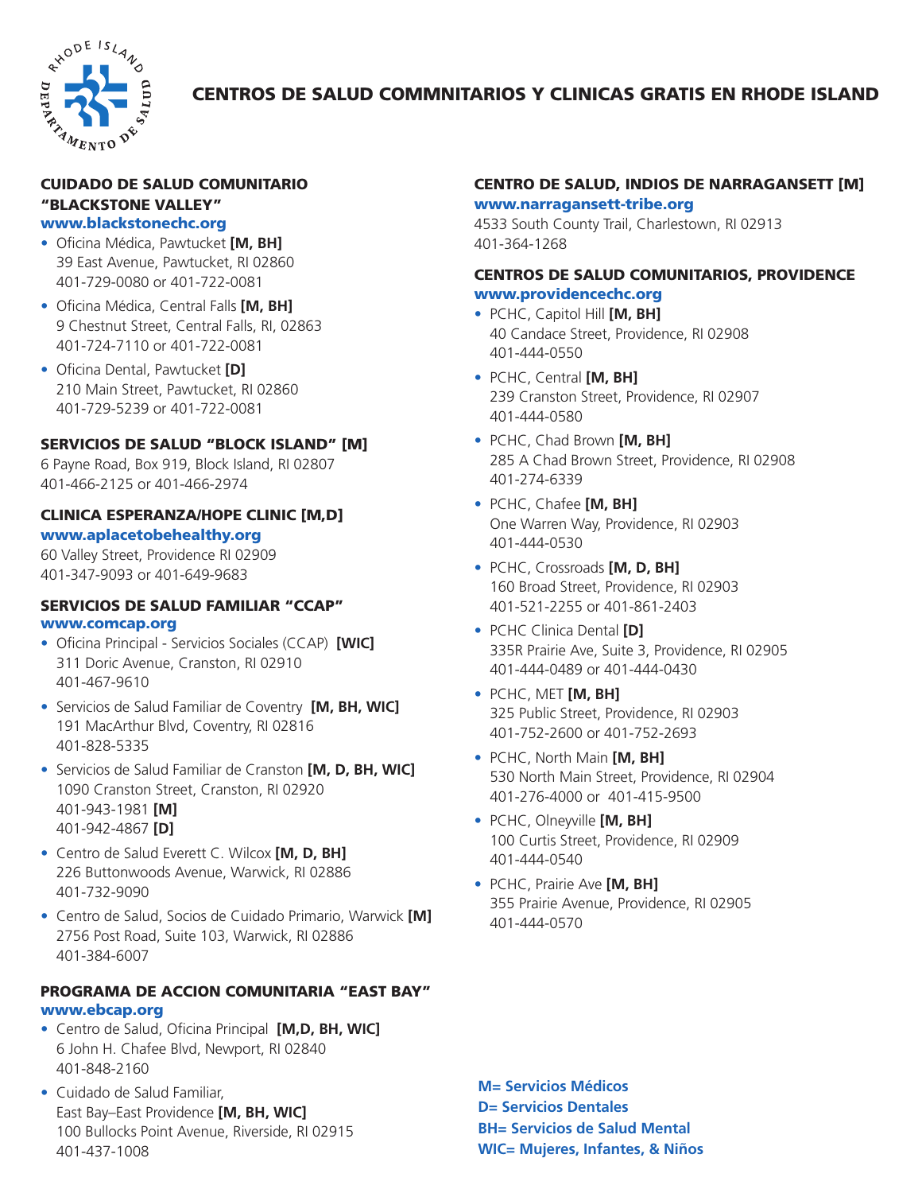

# CENTROS DE SALUD COMMNITARIOS Y CLINICAS GRATIS EN RHODE ISLAND

## CUIDADO DE SALUD COMUNITARIO "BLACKSTONE VALLEY" www.blackstonechc.org

- Oficina Médica, Pawtucket **[M, BH]** 39 East Avenue, Pawtucket, RI 02860 401-729-0080 or 401-722-0081
- Oficina Médica, Central Falls **[M, BH]** 9 Chestnut Street, Central Falls, RI, 02863 401-724-7110 or 401-722-0081
- Oficina Dental, Pawtucket **[D]** 210 Main Street, Pawtucket, RI 02860 401-729-5239 or 401-722-0081

# SERVICIOS DE SALUD "BLOCK ISLAND" [M]

6 Payne Road, Box 919, Block Island, RI 02807 401-466-2125 or 401-466-2974

### CLINICA ESPERANZA/HOPE CLINIC [M,D] www.aplacetobehealthy.org

60 Valley Street, Providence RI 02909 401-347-9093 or 401-649-9683

#### SERVICIOS DE SALUD FAMILIAR "CCAP" www.comcap.org

- Oficina Principal Servicios Sociales (CCAP) **[WIC]** 311 Doric Avenue, Cranston, RI 02910 401-467-9610
- Servicios de Salud Familiar de Coventry **[M, BH, WIC]** 191 MacArthur Blvd, Coventry, RI 02816 401-828-5335
- Servicios de Salud Familiar de Cranston **[M, D, BH, WIC]** 1090 Cranston Street, Cranston, RI 02920 401-943-1981 **[M]** 401-942-4867 **[D]**
- Centro de Salud Everett C. Wilcox **[M, D, BH]** 226 Buttonwoods Avenue, Warwick, RI 02886 401-732-9090
- Centro de Salud, Socios de Cuidado Primario, Warwick **[M]** 2756 Post Road, Suite 103, Warwick, RI 02886 401-384-6007

### PROGRAMA DE ACCION COMUNITARIA "EAST BAY" www.ebcap.org

- Centro de Salud, Oficina Principal **[M,D, BH, WIC]** 6 John H. Chafee Blvd, Newport, RI 02840 401-848-2160
- Cuidado de Salud Familiar, East Bay–East Providence **[M, BH, WIC]** 100 Bullocks Point Avenue, Riverside, RI 02915 401-437-1008

# CENTRO DE SALUD, INDIOS DE NARRAGANSETT [M] www.narragansett-tribe.org

4533 South County Trail, Charlestown, RI 02913 401-364-1268

### CENTROS DE SALUD COMUNITARIOS, PROVIDENCE www.providencechc.org

- PCHC, Capitol Hill **[M, BH]** 40 Candace Street, Providence, RI 02908 401-444-0550
- PCHC, Central **[M, BH]** 239 Cranston Street, Providence, RI 02907 401-444-0580
- PCHC, Chad Brown **[M, BH]** 285 A Chad Brown Street, Providence, RI 02908 401-274-6339
- PCHC, Chafee **[M, BH]** One Warren Way, Providence, RI 02903 401-444-0530
- PCHC, Crossroads **[M, D, BH]** 160 Broad Street, Providence, RI 02903 401-521-2255 or 401-861-2403
- PCHC Clinica Dental **[D]** 335R Prairie Ave, Suite 3, Providence, RI 02905 401-444-0489 or 401-444-0430
- PCHC, MET **[M, BH]** 325 Public Street, Providence, RI 02903 401-752-2600 or 401-752-2693
- PCHC, North Main **[M, BH]** 530 North Main Street, Providence, RI 02904 401-276-4000 or 401-415-9500
- PCHC, Olneyville **[M, BH]** 100 Curtis Street, Providence, RI 02909 401-444-0540
- PCHC, Prairie Ave **[M, BH]** 355 Prairie Avenue, Providence, RI 02905 401-444-0570

**M= Servicios Médicos D= Servicios Dentales BH= Servicios de Salud Mental WIC= Mujeres, Infantes, & Niños**